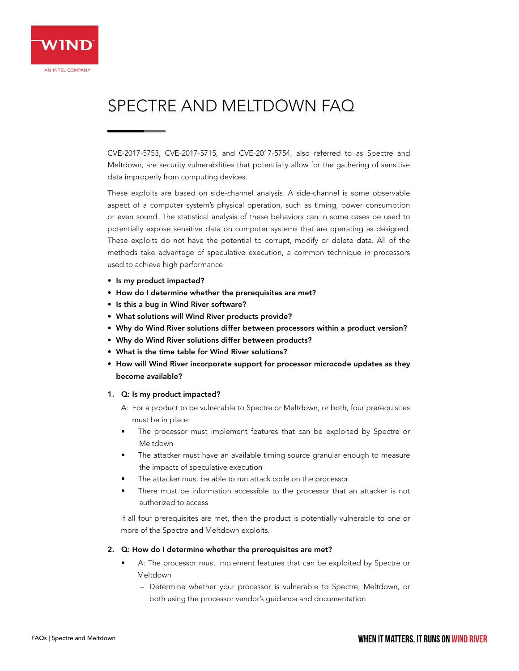# SPECTRE AND MELTDOWN FAQ

CVE-2017-5753, CVE-2017-5715, and CVE-2017-5754, also referred to as Spectre and Meltdown, are security vulnerabilities that potentially allow for the gathering of sensitive data improperly from computing devices.

These exploits are based on side-channel analysis. A side-channel is some observable aspect of a computer system's physical operation, such as timing, power consumption or even sound. The statistical analysis of these behaviors can in some cases be used to potentially expose sensitive data on computer systems that are operating as designed. These exploits do not have the potential to corrupt, modify or delete data. All of the methods take advantage of speculative execution, a common technique in processors used to achieve high performance

- Is my product impacted?
- How do I determine whether the prerequisites are met?
- Is this a bug in Wind River software?
- What solutions will Wind River products provide?
- Why do Wind River solutions differ between processors within a product version?
- Why do Wind River solutions differ between products?
- What is the time table for Wind River solutions?
- How will Wind River incorporate support for processor microcode updates as they become available?

# 1. Q: Is my product impacted?

- A: For a product to be vulnerable to Spectre or Meltdown, or both, four prerequisites must be in place:
- The processor must implement features that can be exploited by Spectre or Meltdown
- The attacker must have an available timing source granular enough to measure the impacts of speculative execution
- The attacker must be able to run attack code on the processor
- There must be information accessible to the processor that an attacker is not authorized to access

If all four prerequisites are met, then the product is potentially vulnerable to one or more of the Spectre and Meltdown exploits.

# 2. Q: How do I determine whether the prerequisites are met?

- A: The processor must implement features that can be exploited by Spectre or Meltdown
	- Determine whether your processor is vulnerable to Spectre, Meltdown, or both using the processor vendor's guidance and documentation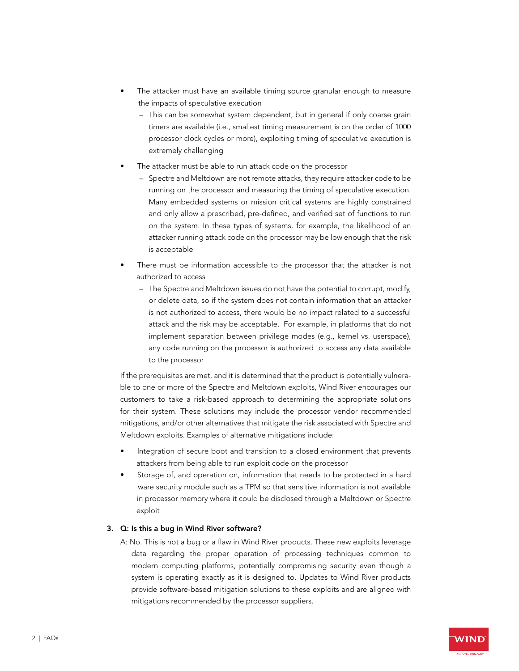- The attacker must have an available timing source granular enough to measure the impacts of speculative execution
	- This can be somewhat system dependent, but in general if only coarse grain timers are available (i.e., smallest timing measurement is on the order of 1000 processor clock cycles or more), exploiting timing of speculative execution is extremely challenging
- The attacker must be able to run attack code on the processor
	- Spectre and Meltdown are not remote attacks, they require attacker code to be running on the processor and measuring the timing of speculative execution. Many embedded systems or mission critical systems are highly constrained and only allow a prescribed, pre-defined, and verified set of functions to run on the system. In these types of systems, for example, the likelihood of an attacker running attack code on the processor may be low enough that the risk is acceptable
- There must be information accessible to the processor that the attacker is not authorized to access
	- The Spectre and Meltdown issues do not have the potential to corrupt, modify, or delete data, so if the system does not contain information that an attacker is not authorized to access, there would be no impact related to a successful attack and the risk may be acceptable. For example, in platforms that do not implement separation between privilege modes (e.g., kernel vs. userspace), any code running on the processor is authorized to access any data available to the processor

If the prerequisites are met, and it is determined that the product is potentially vulnerable to one or more of the Spectre and Meltdown exploits, Wind River encourages our customers to take a risk-based approach to determining the appropriate solutions for their system. These solutions may include the processor vendor recommended mitigations, and/or other alternatives that mitigate the risk associated with Spectre and Meltdown exploits. Examples of alternative mitigations include:

- Integration of secure boot and transition to a closed environment that prevents attackers from being able to run exploit code on the processor
- Storage of, and operation on, information that needs to be protected in a hard ware security module such as a TPM so that sensitive information is not available in processor memory where it could be disclosed through a Meltdown or Spectre exploit

# 3. Q: Is this a bug in Wind River software?

A: No. This is not a bug or a flaw in Wind River products. These new exploits leverage data regarding the proper operation of processing techniques common to modern computing platforms, potentially compromising security even though a system is operating exactly as it is designed to. Updates to Wind River products provide software-based mitigation solutions to these exploits and are aligned with mitigations recommended by the processor suppliers.

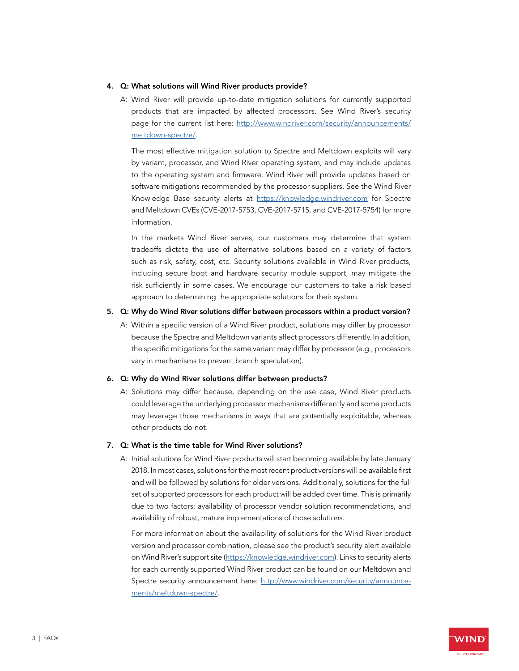#### 4. Q: What solutions will Wind River products provide?

A: Wind River will provide up-to-date mitigation solutions for currently supported products that are impacted by affected processors. See Wind River's security page for the current list here: [http://www.windriver.com/security/announcements/](http://www.windriver.com/security/announcements/meltdown-spectre/) [meltdown-spectre/.](http://www.windriver.com/security/announcements/meltdown-spectre/)

The most effective mitigation solution to Spectre and Meltdown exploits will vary by variant, processor, and Wind River operating system, and may include updates to the operating system and firmware. Wind River will provide updates based on software mitigations recommended by the processor suppliers. See the Wind River Knowledge Base security alerts at <https://knowledge.windriver.com>for Spectre and Meltdown CVEs (CVE-2017-5753, CVE-2017-5715, and CVE-2017-5754) for more information.

In the markets Wind River serves, our customers may determine that system tradeoffs dictate the use of alternative solutions based on a variety of factors such as risk, safety, cost, etc. Security solutions available in Wind River products, including secure boot and hardware security module support, may mitigate the risk sufficiently in some cases. We encourage our customers to take a risk based approach to determining the appropriate solutions for their system.

#### 5. Q: Why do Wind River solutions differ between processors within a product version?

A: Within a specific version of a Wind River product, solutions may differ by processor because the Spectre and Meltdown variants affect processors differently. In addition, the specific mitigations for the same variant may differ by processor (e.g., processors vary in mechanisms to prevent branch speculation).

#### 6. Q: Why do Wind River solutions differ between products?

A: Solutions may differ because, depending on the use case, Wind River products could leverage the underlying processor mechanisms differently and some products may leverage those mechanisms in ways that are potentially exploitable, whereas other products do not.

# 7. Q: What is the time table for Wind River solutions?

A: Initial solutions for Wind River products will start becoming available by late January 2018. In most cases, solutions for the most recent product versions will be available first and will be followed by solutions for older versions. Additionally, solutions for the full set of supported processors for each product will be added over time. This is primarily due to two factors: availability of processor vendor solution recommendations, and availability of robust, mature implementations of those solutions.

For more information about the availability of solutions for the Wind River product version and processor combination, please see the product's security alert available on Wind River's support site [\(https://knowledge.windriver.com](https://knowledge.windriver.com)). Links to security alerts for each currently supported Wind River product can be found on our Meltdown and Spectre security announcement here: [http://www.windriver.com/security/announce](http://www.windriver.com/security/announcements/meltdown-spectre/)[ments/meltdown-spectre/.](http://www.windriver.com/security/announcements/meltdown-spectre/)